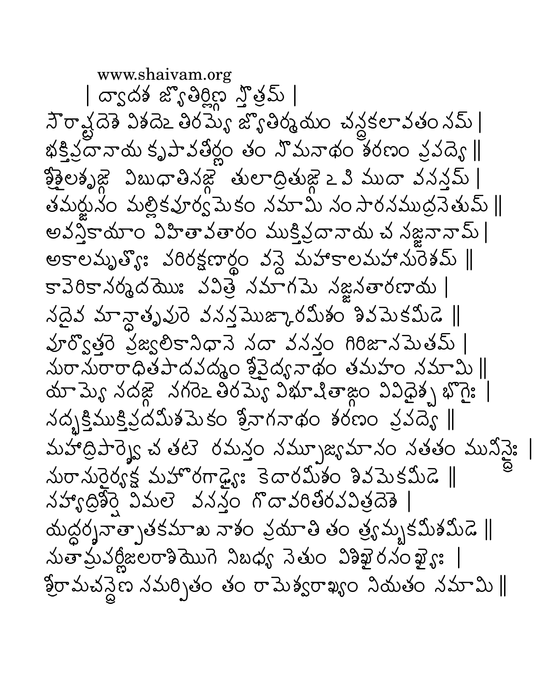www.shaivam.org | ద్వాద్గ జ్యోతిర్లీస్ స్తోత్స్ | సౌరావ్షదేశ్ విశదేఒ తిరమ్య జ్యోతిర్మనుం చన్దకలావతం నమ్ | భక్తిప్రానాయ కృపావతీర్ణం తం నొమనాథం శరణం వ్రవద్య ∥ క్ష్మెలకృజ్ణ విబుధాతినజ్ణ తులాద్రితుజ్ణ ఒ మీటుదా వనన్తమ్ | తమర్జునం మల్లికవూర్వపెుకం నమామి నం సారనముద్రనెతుమ్ || అవస్త్రికాయాం విహితావతారం ముక్తివ్రదానాయ చ నజ్ఞనానామ్ | అకాలమృత్యి: వరిరక్షణార్థం వన్డె మహాకాలమహానురెశమ్ ||  $s = 30s$  వర్మదెయి: వవిత్ర నమాగమె నజ్జనతారణాయ | నదైవ మాన్దాతృవురె వనన్తమొజ్కారమీశం శివమెకమీడె || పూర్వొత్తరె ప్రజ్యలికానిధానె నదా వననం గిరిజానపెుతమ్ | మరామరారాధితపాదవద్మం శ్రీవైద్య నాథం తమహం నమామి || మామ్యే నదజ్గె నగరెం తిరమ్యే విభూషితాజ్గం వివిధైశ్చ భొగై: | నదృక్తిముక్తిప్రదమిశమెకం శ్రీనాగనాథం శరణం వ్రవద్యె || మహాద్రిపార్శెక్ట చతటె రమన్తం నమ్చూజ్యమానం నతతం మునివైః | మరామరైర్యక్ష మహొరగాడ్యైః కెదారమీశం శివమెకమీడె || నహ్యాద్రికెర్తె విమలె వనన్తం గొదావరితోరవవిత్రదెశె | యద్దర్శనాత్సాతకమాఖ నాశం వ్రమాతి తం త్రఃమృకమీశమీడె  $\parallel$  $\Delta$ తామ్రద్దీజలరాశియొగె నిబధ్య నెతుం విశిఖైరనంఖ్య: | శ్రీరామచన్దెణ నమర్చితం తం రామెశ్వరాఖ్యం నియతం నమామి∥